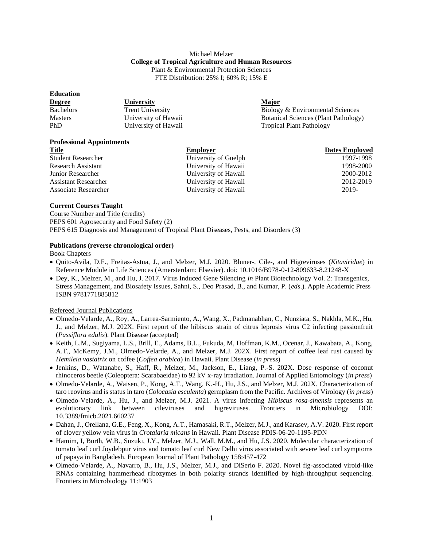## Michael Melzer **College of Tropical Agriculture and Human Resources** Plant & Environmental Protection Sciences FTE Distribution: 25% I; 60% R; 15% E

| <b>Education</b> |                         |                                             |
|------------------|-------------------------|---------------------------------------------|
| <b>Degree</b>    | University              | <b>Major</b>                                |
| <b>Bachelors</b> | <b>Trent University</b> | Biology & Environmental Sciences            |
| <b>Masters</b>   | University of Hawaii    | <b>Botanical Sciences (Plant Pathology)</b> |
| <b>PhD</b>       | University of Hawaii    | <b>Tropical Plant Pathology</b>             |

# **Professional Appointments**

| <b>Title</b>                | <b>Employer</b>      | <b>Dates Employed</b> |
|-----------------------------|----------------------|-----------------------|
| <b>Student Researcher</b>   | University of Guelph | 1997-1998             |
| Research Assistant          | University of Hawaii | 1998-2000             |
| Junior Researcher           | University of Hawaii | 2000-2012             |
| <b>Assistant Researcher</b> | University of Hawaii | 2012-2019             |
| <b>Associate Researcher</b> | University of Hawaii | 2019-                 |

### **Current Courses Taught**

Course Number and Title (credits) PEPS 601 Agrosecurity and Food Safety (2) PEPS 615 Diagnosis and Management of Tropical Plant Diseases, Pests, and Disorders (3)

### **Publications (reverse chronological order)**

Book Chapters

- Quito-Avila, D.F., Freitas-Astua, J., and Melzer, M.J. 2020. Bluner-, Cile-, and Higreviruses (*Kitaviridae*) in Reference Module in Life Sciences (Amersterdam: Elsevier). doi: 10.1016/B978-0-12-809633-8.21248-X
- Dey, K., Melzer, M., and Hu, J. 2017. Virus Induced Gene Silencing *in* Plant Biotechnology Vol. 2: Transgenics, Stress Management, and Biosafety Issues, Sahni, S., Deo Prasad, B., and Kumar, P. (*eds*.). Apple Academic Press ISBN 9781771885812

## Refereed Journal Publications

- Olmedo-Velarde, A., Roy, A., Larrea-Sarmiento, A., Wang, X., Padmanabhan, C., Nunziata, S., Nakhla, M.K., Hu, J., and Melzer, M.J. 202X. First report of the hibiscus strain of citrus leprosis virus C2 infecting passionfruit (*Passiflora edulis*). Plant Disease (accepted)
- Keith, L.M., Sugiyama, L.S., Brill, E., Adams, B.L., Fukuda, M, Hoffman, K.M., Ocenar, J., Kawabata, A., Kong, A.T., McKemy, J.M., Olmedo-Velarde, A., and Melzer, M.J. 202X. First report of coffee leaf rust caused by *Hemileia vastatrix* on coffee (*Coffea arabica*) in Hawaii. Plant Disease (*in press*)
- Jenkins, D., Watanabe, S., Haff, R., Melzer, M., Jackson, E., Liang, P.-S. 202X. Dose response of coconut rhinoceros beetle (Coleoptera: Scarabaeidae) to 92 kV x-ray irradiation. Journal of Applied Entomology (*in press*)
- Olmedo-Velarde, A., Waisen, P., Kong, A.T., Wang, K.-H., Hu, J.S., and Melzer, M.J. 202X. Characterization of taro reovirus and is status in taro (*Colocasia esculenta*) germplasm from the Pacific. Archives of Virology (*in press*)
- Olmedo-Velarde, A., Hu, J., and Melzer, M.J. 2021. A virus infecting *Hibiscus rosa-sinensis* represents an evolutionary link between cileviruses and higreviruses. Frontiers in Microbiology DOI: 10.3389/fmicb.2021.660237
- Dahan, J., Orellana, G.E., Feng, X., Kong, A.T., Hamasaki, R.T., Melzer, M.J., and Karasev, A.V. 2020. First report of clover yellow vein virus in *Crotalaria micans* in Hawaii. Plant Disease PDIS-06-20-1195-PDN
- Hamim, I, Borth, W.B., Suzuki, J.Y., Melzer, M.J., Wall, M.M., and Hu, J.S. 2020. Molecular characterization of tomato leaf curl Joydebpur virus and tomato leaf curl New Delhi virus associated with severe leaf curl symptoms of papaya in Bangladesh. European Journal of Plant Pathology 158:457-472
- Olmedo-Velarde, A., Navarro, B., Hu, J.S., Melzer, M.J., and DiSerio F. 2020. Novel fig-associated viroid-like RNAs containing hammerhead ribozymes in both polarity strands identified by high-throughput sequencing. Frontiers in Microbiology 11:1903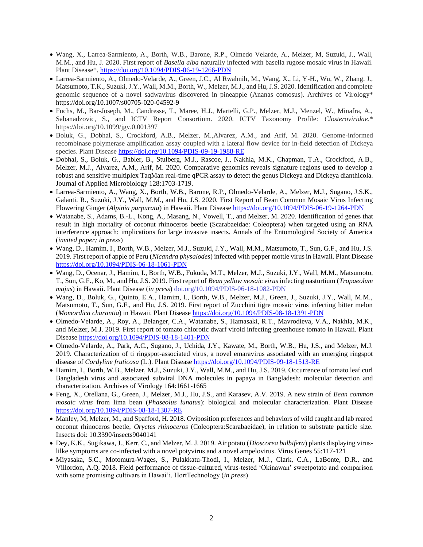- Wang, X., Larrea-Sarmiento, A., Borth, W.B., Barone, R.P., Olmedo Velarde, A., Melzer, M, Suzuki, J., Wall, M.M., and Hu, J. 2020. First report of *Basella alba* naturally infected with basella rugose mosaic virus in Hawaii. Plant Disease\*.<https://doi.org/10.1094/PDIS-06-19-1266-PDN>
- Larrea-Sarmiento, A., Olmedo-Velarde, A., Green, J.C., Al Rwahnih, M., Wang, X., Li, Y-H., Wu, W., Zhang, J., Matsumoto, T.K., Suzuki, J.Y., Wall, M.M., Borth, W., Melzer, M.J., and Hu, J.S. 2020. Identification and complete genomic sequence of a novel sadwavirus discovered in pineapple (Ananas comosus). Archives of Virology\* https://doi.org/10.1007/s00705-020-04592-9
- Fuchs, M., Bar-Joseph, M., Candresse, T., Maree, H.J., Martelli, G.P., Melzer, M.J., Menzel, W., Minafra, A., Sabanadzovic, S., and ICTV Report Consortium. 2020. ICTV Taxonomy Profile: *Closteroviridae*.\* <https://doi.org/10.1099/jgv.0.001397>
- Boluk, G., Dobhal, S., Crockford, A.B., Melzer, M.,Alvarez, A.M., and Arif, M. 2020. Genome-informed recombinase polymerase amplification assay coupled with a lateral flow device for in-field detection of Dickeya species. Plant Disease <https://doi.org/10.1094/PDIS-09-19-1988-RE>
- Dobhal, S., Boluk, G., Babler, B., Stulberg, M.J., Rascoe, J., Nakhla, M.K., Chapman, T.A., Crockford, A.B., Melzer, M.J., Alvarez, A.M., Arif, M. 2020. Comparative genomics reveals signature regions used to develop a robust and sensitive multiplex TaqMan real-time qPCR assay to detect the genus Dickeya and Dickeya dianthicola. Journal of Applied Microbiology 128:1703-1719.
- Larrea-Sarmiento, A., Wang, X., Borth, W.B., Barone, R.P., Olmedo-Velarde, A., Melzer, M.J., Sugano, J.S.K., Galanti. R., Suzuki, J.Y., Wall, M.M., and Hu, J.S. 2020. First Report of Bean Common Mosaic Virus Infecting Flowering Ginger (*Alpinia purpurata*) in Hawaii. Plant Disease<https://doi.org/10.1094/PDIS-06-19-1264-PDN>
- Watanabe, S., Adams, B.-L., Kong, A., Masang, N., Vowell, T., and Melzer, M. 2020. Identification of genes that result in high mortality of coconut rhinoceros beetle (Scarabaeidae: Coleoptera) when targeted using an RNA interference approach: implications for large invasive insects. Annals of the Entomological Society of America (*invited paper; in press*)
- Wang, D., Hamim, I., Borth, W.B., Melzer, M.J., Suzuki, J.Y., Wall, M.M., Matsumoto, T., Sun, G.F., and Hu, J.S. 2019. First report of apple of Peru (*Nicandra physalodes*) infected with pepper mottle virus in Hawaii. Plant Disease <https://doi.org/10.1094/PDIS-06-18-1061-PDN>
- Wang, D., Ocenar, J., Hamim, I., Borth, W.B., Fukuda, M.T., Melzer, M.J., Suzuki, J.Y., Wall, M.M., Matsumoto, T., Sun, G.F., Ko, M., and Hu, J.S. 2019. First report of *Bean yellow mosaic virus* infecting nasturtium (*Tropaeolum majus*) in Hawaii. Plant Disease (*in press*) [doi.org/10.1094/PDIS-06-18-1082-PDN](https://doi.org/10.1094/PDIS-06-18-1082-PDN)
- Wang, D., Boluk, G., Quinto, E.A., Hamim, I., Borth, W.B., Melzer, M.J., Green, J., Suzuki, J.Y., Wall, M.M., Matsumoto, T., Sun, G.F., and Hu, J.S. 2019. First report of Zucchini tigre mosaic virus infecting bitter melon (*Momordica charantia*) in Hawaii. Plant Disease<https://doi.org/10.1094/PDIS-08-18-1391-PDN>
- Olmedo-Velarde, A., Roy, A., Belanger, C.A., Watanabe, S., Hamasaki, R.T., Mavrodieva, V.A., Nakhla, M.K., and Melzer, M.J. 2019. First report of tomato chlorotic dwarf viroid infecting greenhouse tomato in Hawaii. Plant Disease<https://doi.org/10.1094/PDIS-08-18-1401-PDN>
- Olmedo-Velarde, A., Park, A.C., Sugano, J., Uchida, J.Y., Kawate, M., Borth, W.B., Hu, J.S., and Melzer, M.J. 2019. Characterization of ti ringspot-associated virus, a novel emaravirus associated with an emerging ringspot disease of *Cordyline fruticosa* (L.). Plant Diseas[e https://doi.org/10.1094/PDIS-09-18-1513-RE](https://doi.org/10.1094/PDIS-09-18-1513-RE)
- Hamim, I., Borth, W.B., Melzer, M.J., Suzuki, J.Y., Wall, M.M., and Hu, J.S. 2019. Occurrence of tomato leaf curl Bangladesh virus and associated subviral DNA molecules in papaya in Bangladesh: molecular detection and characterization. Archives of Virology 164:1661-1665
- Feng, X., Orellana, G., Green, J., Melzer, M.J., Hu, J.S., and Karasev, A.V. 2019. A new strain of *Bean common mosaic virus* from lima bean (*Phaseolus lunatus*): biological and molecular characterization. Plant Disease <https://doi.org/10.1094/PDIS-08-18-1307-RE>
- Manley, M, Melzer, M., and Spafford, H. 2018. Oviposition preferences and behaviors of wild caught and lab reared coconut rhinoceros beetle, *Oryctes rhinoceros* (Coleoptera:Scarabaeidae), in relation to substrate particle size. Insects doi: 10.3390/insects9040141
- Dey, K.K., Sugikawa, J., Kerr, C., and Melzer, M. J. 2019. Air potato (*Dioscorea bulbifera*) plants displaying viruslilke symptoms are co-infected with a novel potyvirus and a novel ampelovirus. Virus Genes 55:117-121
- Miyasaka, S.C., Motomura-Wages, S., Pulakkatu-Thodi, I., Melzer, M.J., Clark, C.A., LaBonte, D.R., and Villordon, A.Q. 2018. Field performance of tissue-cultured, virus-tested 'Okinawan' sweetpotato and comparison with some promising cultivars in Hawai'i. HortTechnology (*in press*)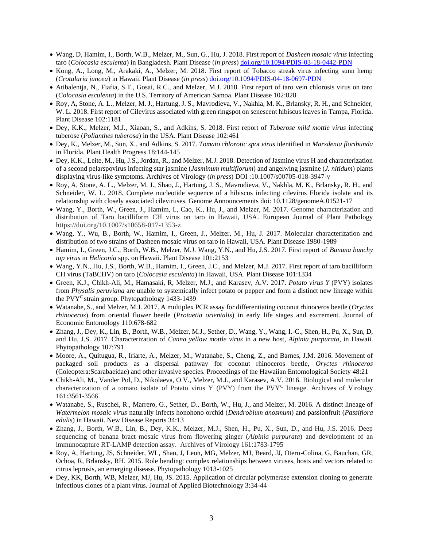- Wang, D, Hamim, I., Borth, W.B., Melzer, M., Sun, G., Hu, J. 2018. First report of *Dasheen mosaic virus* infecting taro (*Colocasia esculenta*) in Bangladesh. Plant Disease (*in press*) [doi.org/10.1094/PDIS-03-18-0442-PDN](https://doi.org/10.1094/PDIS-03-18-0442-PDN)
- Kong, A., Long, M., Arakaki, A., Melzer, M. 2018. First report of Tobacco streak virus infecting sunn hemp (*Crotalaria juncea*) in Hawaii. Plant Disease (*in press*) [doi.org/10.1094/PDIS-04-18-0697-PDN](https://doi.org/10.1094/PDIS-04-18-0697-PDN)
- Atibalentja, N., Fiafia, S.T., Gosai, R.C., and Melzer, M.J. 2018. First report of taro vein chlorosis virus on taro (*Colocasia esculenta*) in the U.S. Territory of American Samoa. Plant Disease 102:828
- Roy, A, Stone, A. L., Melzer, M. J., Hartung, J. S., Mavrodieva, V., Nakhla, M. K., Brlansky, R. H., and Schneider, W. L. 2018. First report of Cilevirus associated with green ringspot on senescent hibiscus leaves in Tampa, Florida. Plant Disease 102:1181
- Dey, K.K., Melzer, M.J., Xiaoan, S., and Adkins, S. 2018. First report of *Tuberose mild mottle virus* infecting tuberose (*Polianthes tuberosa*) in the USA. Plant Disease 102:461
- Dey, K., Melzer, M., Sun, X., and Adkins, S. 2017. *Tomato chlorotic spot virus* identified in *Marsdenia floribunda* in Florida. Plant Health Progress 18:144-145
- Dey, K.K., Leite, M., Hu, J.S., Jordan, R., and Melzer, M.J. 2018. Detection of Jasmine virus H and characterization of a second pelarspovirus infecting star jasmine (*Jasminum multiflorum*) and angelwing jasmine (*J. nitidum*) plants displaying virus-like symptoms. Archives of Virology (*in press*) DOI :10.1007/s00705-018-3947-y
- Roy, A, Stone, A. L., Melzer, M. J., Shao, J., Hartung, J. S., Mavrodieva, V., Nakhla, M. K., Brlansky, R. H., and Schneider, W. L. 2018. Complete nucleotide sequence of a hibiscus infecting cilevirus Florida isolate and its relationship with closely associated cileviruses. Genome Announcements doi: 10.1128/genomeA.01521-17
- Wang, Y., Borth, W., Green, J., Hamim, I., Cao, K., Hu, J., and Melzer, M. 2017. Genome characterization and distribution of Taro bacilliform CH virus on taro in Hawaii, USA. European Journal of Plant Pathology https://doi.org/10.1007/s10658-017-1353-z
- Wang, Y., Wu, B., Borth, W., Hamim, I., Green, J., Melzer, M., Hu, J. 2017. Molecular characterization and distribution of two strains of Dasheen mosaic virus on taro in Hawaii, USA. Plant Disease 1980-1989
- Hamim, I., Green, J.C., Borth, W.B., Melzer, M.J. Wang, Y.N., and Hu, J.S. 2017. First report of *Banana bunchy top virus* in *Heliconia* spp. on Hawaii. Plant Disease 101:2153
- Wang, Y.N., Hu, J.S., Borth, W.B., Hamim, I., Green, J.C., and Melzer, M.J. 2017. First report of taro bacilliform CH virus (TaBCHV) on taro (*Colocasia esculenta*) in Hawaii, USA. Plant Disease 101:1334
- Green, K.J., Chikh-Ali, M., Hamasaki, R, Melzer, M.J., and Karasev, A.V. 2017. *Potato virus Y* (PVY) isolates from *Physalis peruviana* are unable to systemically infect potato or pepper and form a distinct new lineage within the PVY<sup>C</sup> strain group. Phytopatholog[y 1433-1439](https://doi.org/10.1094/PHYTO-04-17-0147-R)
- Watanabe, S., and Melzer, M.J. 2017. A multiplex PCR assay for differentiating coconut rhinoceros beetle (*Oryctes rhinoceros*) from oriental flower beetle (*Protaetia orientalis*) in early life stages and excrement. Journal of Economic Entomology 110:678-682
- Zhang, J., Dey, K., Lin, B., Borth, W.B., Melzer, M.J., Sether, D., Wang, Y., Wang, I.-C., Shen, H., Pu, X., Sun, D, and Hu, J.S. 2017. Characterization of *Canna yellow mottle virus* in a new host, *Alpinia purpurata*, in Hawaii. Phytopathology 107:791
- Moore, A., Quitugua, R., Iriarte, A., Melzer, M., Watanabe, S., Cheng, Z., and Barnes, J.M. 2016. Movement of packaged soil products as a dispersal pathway for coconut rhinoceros beetle, *Oryctes rhinoceros* (Coleoptera:Scarabaeidae) and other invasive species. Proceedings of the Hawaiian Entomological Society 48:21
- Chikh-Ali, M., Vander Pol, D., Nikolaeva, O.V., Melzer, M.J., and Karasev, A.V. 2016. Biological and molecular characterization of a tomato isolate of Potato virus Y (PVY) from the PVY<sup>C</sup> lineage. Archives of Virology 161:3561-3566
- Watanabe, S., Ruschel, R., Marrero, G., Sether, D., Borth, W., Hu, J., and Melzer, M. 2016. A distinct lineage of *Watermelon mosaic virus* naturally infects honohono orchid (*Dendrobium anosmum*) and passionfruit (*Passiflora edulis*) in Hawaii. New Disease Reports 34:13
- Zhang, J., Borth, W.B., Lin, B., Dey, K.K., Melzer, M.J., Shen, H., Pu, X., Sun, D., and Hu, J.S. 2016. Deep sequencing of banana bract mosaic virus from flowering ginger (*Alpinia purpurata*) and development of an immunocapture RT-LAMP detection assay. Archives of Virology 161:1783-1795
- Roy, A, Hartung, JS, Schneider, WL, Shao, J, Leon, MG, Melzer, MJ, Beard, JJ, Otero-Colina, G, Bauchan, GR, Ochoa, R, Brlansky, RH. 2015. Role bending: complex relationships between viruses, hosts and vectors related to citrus leprosis, an emerging disease. Phytopathology 1013-1025
- Dey, KK, Borth, WB, Melzer, MJ, Hu, JS. 2015. Application of circular polymerase extension cloning to generate infectious clones of a plant virus. Journal of Applied Biotechnology 3:34-44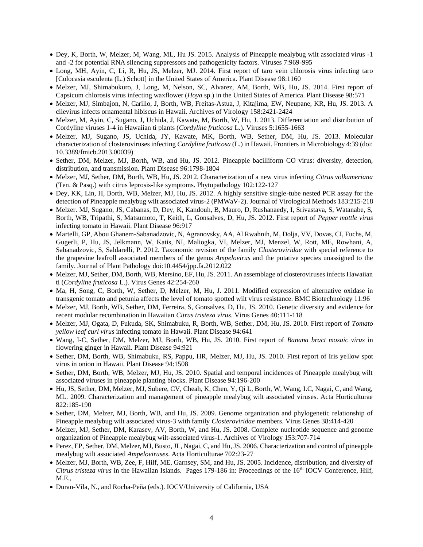- Dey, K, Borth, W, Melzer, M, Wang, ML, Hu JS. 2015. Analysis of Pineapple mealybug wilt associated virus -1 and -2 for potential RNA silencing suppressors and pathogenicity factors. Viruses 7:969-995
- Long, MH, Ayin, C, Li, R, Hu, JS, Melzer, MJ. 2014. First report of taro vein chlorosis virus infecting taro [Colocasia esculenta (L.) Schott] in the United States of America. Plant Disease 98:1160
- Melzer, MJ, Shimabukuro, J, Long, M, Nelson, SC, Alvarez, AM, Borth, WB, Hu, JS. 2014. First report of Capsicum chlorosis virus infecting waxflower (*Hoya* sp.) in the United States of America. Plant Disease 98:571
- Melzer, MJ, Simbajon, N, Carillo, J, Borth, WB, Freitas-Astua, J, Kitajima, EW, Neupane, KR, Hu, JS. 2013. A cilevirus infects ornamental hibiscus in Hawaii. Archives of Virology 158:2421-2424
- Melzer, M, Ayin, C, Sugano, J, Uchida, J, Kawate, M, Borth, W, Hu, J. 2013. Differentiation and distribution of Cordyline viruses 1-4 in Hawaiian ti plants (*Cordyline fruticosa* L.). Viruses 5:1655-1663
- Melzer, MJ, Sugano, JS, Uchida, JY, Kawate, MK, Borth, WB, Sether, DM, Hu, JS. 2013. Molecular characterization of closteroviruses infecting *Cordyline fruticosa* (L.) in Hawaii. Frontiers in Microbiology 4:39 (doi: 10.3389/fmicb.2013.00039)
- Sether, DM, Melzer, MJ, Borth, WB, and Hu, JS. 2012. Pineapple bacilliform CO virus: diversity, detection, distribution, and transmission. Plant Disease 96:1798-1804
- Melzer, MJ, Sether, DM, Borth, WB, Hu, JS. 2012. Characterization of a new virus infecting *Citrus volkameriana* (Ten. & Pasq.) with citrus leprosis-like symptoms. Phytopathology 102:122-127
- Dey, KK, Lin, H, Borth, WB, Melzer, MJ, Hu, JS. 2012. A highly sensitive single-tube nested PCR assay for the detection of Pineapple mealybug wilt associated virus-2 (PMWaV-2). Journal of Virological Methods 183:215-218
- Melzer. MJ, Sugano, JS, Cabanas, D, Dey, K, Kandouh, B, Mauro, D, Rushanaedy, I, Srivastava, S, Watanabe, S, Borth, WB, Tripathi, S, Matsumoto, T, Keith, L, Gonsalves, D, Hu, JS. 2012. First report of *Pepper mottle virus* infecting tomato in Hawaii. Plant Disease 96:917
- Martelli, GP, Abou Ghanem-Sabanadzovic, N, Agranovsky, AA, Al Rwahnih, M, Dolja, VV, Dovas, CI, Fuchs, M, Gugerli, P, Hu, JS, Jelkmann, W, Katis, NI, Maliogka, VI, Melzer, MJ, Menzel, W, Rott, ME, Rowhani, A, Sabanadzovic, S, Saldarelli, P. 2012. Taxonomic revision of the family *Closteroviridae* with special reference to the grapevine leafroll associated members of the genus *Ampelovirus* and the putative species unassigned to the family. Journal of Plant Pathology doi:10.4454/jpp.fa.2012.022
- Melzer, MJ, Sether, DM, Borth, WB, Mersino, EF, Hu, JS. 2011. An assemblage of closteroviruses infects Hawaiian ti (*Cordyline fruticosa* L.). Virus Genes 42:254-260
- Ma, H, Song, C, Borth, W, Sether, D, Melzer, M, Hu, J. 2011. Modified expression of alternative oxidase in transgenic tomato and petunia affects the level of tomato spotted wilt virus resistance. BMC Biotechnology 11:96
- Melzer, MJ, Borth, WB, Sether, DM, Ferreira, S, Gonsalves, D, Hu, JS. 2010. Genetic diversity and evidence for recent modular recombination in Hawaiian *Citrus tristeza virus*. Virus Genes 40:111-118
- Melzer, MJ, Ogata, D, Fukuda, SK, Shimabuku, R, Borth, WB, Sether, DM, Hu, JS. 2010. First report of *Tomato yellow leaf curl virus* infecting tomato in Hawaii. Plant Disease 94:641
- Wang, I-C, Sether, DM, Melzer, MJ, Borth, WB, Hu, JS. 2010. First report of *Banana bract mosaic virus* in flowering ginger in Hawaii. Plant Disease 94:921
- Sether, DM, Borth, WB, Shimabuku, RS, Pappu, HR, Melzer, MJ, Hu, JS. 2010. First report of Iris yellow spot virus in onion in Hawaii. Plant Disease 94:1508
- Sether, DM, Borth, WB, Melzer, MJ, Hu, JS. 2010. Spatial and temporal incidences of Pineapple mealybug wilt associated viruses in pineapple planting blocks. Plant Disease 94:196-200
- Hu, JS, Sether, DM, Melzer, MJ, Subere, CV, Cheah, K, Chen, Y, Qi L, Borth, W, Wang, I.C, Nagai, C, and Wang, ML. 2009. Characterization and management of pineapple mealybug wilt associated viruses. Acta Horticulturae 822:185-190
- Sether, DM, Melzer, MJ, Borth, WB, and Hu, JS. 2009. Genome organization and phylogenetic relationship of Pineapple mealybug wilt associated virus-3 with family *Closteroviridae* members. Virus Genes 38:414-420
- Melzer, MJ, Sether, DM, Karasev, AV, Borth, W, and Hu, JS. 2008. Complete nucleotide sequence and genome organization of Pineapple mealybug wilt-associated virus-1. Archives of Virology 153:707-714
- Perez, EP, Sether, DM, Melzer, MJ, Busto, JL, Nagai, C, and Hu, JS. 2006. Characterization and control of pineapple mealybug wilt associated *Ampeloviruses*. Acta Horticulturae 702:23-27
- Melzer, MJ, Borth, WB, Zee, F, Hilf, ME, Garnsey, SM, and Hu, JS. 2005. Incidence, distribution, and diversity of *Citrus tristeza virus* in the Hawaiian Islands. Pages 179-186 in: Proceedings of the 16th IOCV Conference, Hilf, M.E.,
- Duran-Vila, N., and Rocha-Peña (eds.). IOCV/University of California, USA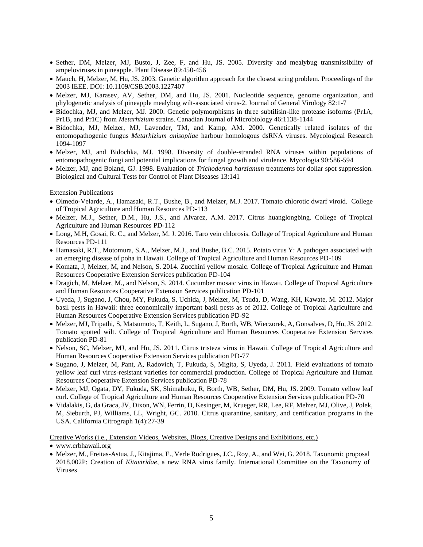- Sether, DM, Melzer, MJ, Busto, J, Zee, F, and Hu, JS. 2005. Diversity and mealybug transmissibility of ampeloviruses in pineapple. Plant Disease 89:450-456
- Mauch, H, Melzer, M, Hu, JS. 2003. Genetic algorithm approach for the closest string problem. Proceedings of the 2003 IEEE. DOI: 10.1109/CSB.2003.1227407
- Melzer, MJ, Karasev, AV, Sether, DM, and Hu, JS. 2001. Nucleotide sequence, genome organization, and phylogenetic analysis of pineapple mealybug wilt-associated virus-2. Journal of General Virology 82:1-7
- Bidochka, MJ, and Melzer, MJ. 2000. Genetic polymorphisms in three subtilisin-like protease isoforms (Pr1A, Pr1B, and Pr1C) from *Metarhizium* strains. Canadian Journal of Microbiology 46:1138-1144
- Bidochka, MJ, Melzer, MJ, Lavender, TM, and Kamp, AM. 2000. Genetically related isolates of the entomopathogenic fungus *Metarhizium anisopliae* harbour homologous dsRNA viruses. Mycological Research 1094-1097
- Melzer, MJ, and Bidochka, MJ. 1998. Diversity of double-stranded RNA viruses within populations of entomopathogenic fungi and potential implications for fungal growth and virulence. Mycologia 90:586-594
- Melzer, MJ, and Boland, GJ. 1998. Evaluation of *Trichoderma harzianum* treatments for dollar spot suppression. Biological and Cultural Tests for Control of Plant Diseases 13:141

#### Extension Publications

- Olmedo-Velarde, A., Hamasaki, R.T., Bushe, B., and Melzer, M.J. 2017. Tomato chlorotic dwarf viroid. College of Tropical Agriculture and Human Resources PD-113
- Melzer, M.J., Sether, D.M., Hu, J.S., and Alvarez, A.M. 2017. Citrus huanglongbing. College of Tropical Agriculture and Human Resources PD-112
- Long, M.H, Gosai, R. C., and Melzer, M. J. 2016. Taro vein chlorosis. College of Tropical Agriculture and Human Resources PD-111
- Hamasaki, R.T., Motomura, S.A., Melzer, M.J., and Bushe, B.C. 2015. Potato virus Y: A pathogen associated with an emerging disease of poha in Hawaii. College of Tropical Agriculture and Human Resources PD-109
- Komata, J, Melzer, M, and Nelson, S. 2014. Zucchini yellow mosaic. College of Tropical Agriculture and Human Resources Cooperative Extension Services publication PD-104
- Dragich, M, Melzer, M., and Nelson, S. 2014. Cucumber mosaic virus in Hawaii. College of Tropical Agriculture and Human Resources Cooperative Extension Services publication PD-101
- Uyeda, J, Sugano, J, Chou, MY, Fukuda, S, Uchida, J, Melzer, M, Tsuda, D, Wang, KH, Kawate, M. 2012. Major basil pests in Hawaii: three economically important basil pests as of 2012. College of Tropical Agriculture and Human Resources Cooperative Extension Services publication PD-92
- Melzer, MJ, Tripathi, S, Matsumoto, T, Keith, L, Sugano, J, Borth, WB, Wieczorek, A, Gonsalves, D, Hu, JS. 2012. Tomato spotted wilt. College of Tropical Agriculture and Human Resources Cooperative Extension Services publication PD-81
- Nelson, SC, Melzer, MJ, and Hu, JS. 2011. Citrus tristeza virus in Hawaii. College of Tropical Agriculture and Human Resources Cooperative Extension Services publication PD-77
- Sugano, J, Melzer, M, Pant, A, Radovich, T, Fukuda, S, Migita, S, Uyeda, J. 2011. Field evaluations of tomato yellow leaf curl virus-resistant varieties for commercial production. College of Tropical Agriculture and Human Resources Cooperative Extension Services publication PD-78
- Melzer, MJ, Ogata, DY, Fukuda, SK, Shimabuku, R, Borth, WB, Sether, DM, Hu, JS. 2009. Tomato yellow leaf curl. College of Tropical Agriculture and Human Resources Cooperative Extension Services publication PD-70
- Vidalakis, G, da Graca, JV, Dixon, WN, Ferrin, D, Kesinger, M, Krueger, RR, Lee, RF, Melzer, MJ, Olive, J, Polek, M, Sieburth, PJ, Williams, LL, Wright, GC. 2010. Citrus quarantine, sanitary, and certification programs in the USA. California Citrograph 1(4):27-39

### Creative Works (i.e., Extension Videos, Websites, Blogs, Creative Designs and Exhibitions, etc.)

• Melzer, M., Freitas-Astua, J., Kitajima, E., Verle Rodrigues, J.C., Roy, A., and Wei, G. 2018. Taxonomic proposal 2018.002P: Creation of *Kitaviridae*, a new RNA virus family. International Committee on the Taxonomy of Viruses

<sup>•</sup> www.crbhawaii.org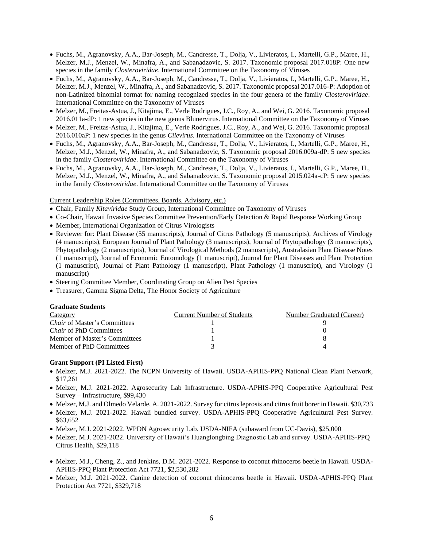- Fuchs, M., Agranovsky, A.A., Bar-Joseph, M., Candresse, T., Dolja, V., Livieratos, I., Martelli, G.P., Maree, H., Melzer, M.J., Menzel, W., Minafra, A., and Sabanadzovic, S. 2017. Taxonomic proposal 2017.018P: One new species in the family *Closteroviridae*. International Committee on the Taxonomy of Viruses
- Fuchs, M., Agranovsky, A.A., Bar-Joseph, M., Candresse, T., Dolja, V., Livieratos, I., Martelli, G.P., Maree, H., Melzer, M.J., Menzel, W., Minafra, A., and Sabanadzovic, S. 2017. Taxonomic proposal 2017.016-P: Adoption of non-Latinized binomial format for naming recognized species in the four genera of the family *Closteroviridae*. International Committee on the Taxonomy of Viruses
- Melzer, M., Freitas-Astua, J., Kitajima, E., Verle Rodrigues, J.C., Roy, A., and Wei, G. 2016. Taxonomic proposal 2016.011a-dP: 1 new species in the new genus Blunervirus. International Committee on the Taxonomy of Viruses
- Melzer, M., Freitas-Astua, J., Kitajima, E., Verle Rodrigues, J.C., Roy, A., and Wei, G. 2016. Taxonomic proposal 2016.010aP: 1 new species in the genus *Cilevirus.* International Committee on the Taxonomy of Viruses
- Fuchs, M., Agranovsky, A.A., Bar-Joseph, M., Candresse, T., Dolja, V., Livieratos, I., Martelli, G.P., Maree, H., Melzer, M.J., Menzel, W., Minafra, A., and Sabanadzovic, S. Taxonomic proposal 2016.009a-dP: 5 new species in the family *Closteroviridae*. International Committee on the Taxonomy of Viruses
- Fuchs, M., Agranovsky, A.A., Bar-Joseph, M., Candresse, T., Dolja, V., Livieratos, I., Martelli, G.P., Maree, H., Melzer, M.J., Menzel, W., Minafra, A., and Sabanadzovic, S. Taxonomic proposal 2015.024a-cP: 5 new species in the family *Closteroviridae*. International Committee on the Taxonomy of Viruses

Current Leadership Roles (Committees, Boards, Advisory, etc.)

- Chair, Family *Kitaviridae* Study Group, International Committee on Taxonomy of Viruses
- Co-Chair, Hawaii Invasive Species Committee Prevention/Early Detection & Rapid Response Working Group
- Member, International Organization of Citrus Virologists
- Reviewer for: Plant Disease (55 manuscripts), Journal of Citrus Pathology (5 manuscripts), Archives of Virology (4 manuscripts), European Journal of Plant Pathology (3 manuscripts), Journal of Phytopathology (3 manuscripts), Phytopathology (2 manuscripts), Journal of Virological Methods (2 manuscripts), Australasian Plant Disease Notes (1 manuscript), Journal of Economic Entomology (1 manuscript), Journal for Plant Diseases and Plant Protection (1 manuscript), Journal of Plant Pathology (1 manuscript), Plant Pathology (1 manuscript), and Virology (1 manuscript)
- Steering Committee Member, Coordinating Group on Alien Pest Species
- Treasurer, Gamma Sigma Delta, The Honor Society of Agriculture

#### **Graduate Students**

| Category                            | <b>Current Number of Students</b> | Number Graduated (Career) |
|-------------------------------------|-----------------------------------|---------------------------|
| <i>Chair</i> of Master's Committees |                                   |                           |
| <i>Chair</i> of PhD Committees      |                                   |                           |
| Member of Master's Committees       |                                   |                           |
| Member of PhD Committees            |                                   |                           |

## **Grant Support (PI Listed First)**

- Melzer, M.J. 2021-2022. The NCPN University of Hawaii. USDA-APHIS-PPQ National Clean Plant Network, \$17,261
- Melzer, M.J. 2021-2022. Agrosecurity Lab Infrastructure. USDA-APHIS-PPQ Cooperative Agricultural Pest Survey – Infrastructure, \$99,430
- Melzer, M.J. and Olmedo Velarde, A. 2021-2022. Survey for citrus leprosis and citrus fruit borer in Hawaii. \$30,733
- Melzer, M.J. 2021-2022. Hawaii bundled survey. USDA-APHIS-PPQ Cooperative Agricultural Pest Survey. \$63,652
- Melzer, M.J. 2021-2022. WPDN Agrosecurity Lab. USDA-NIFA (subaward from UC-Davis), \$25,000
- Melzer, M.J. 2021-2022. University of Hawaii's Huanglongbing Diagnostic Lab and survey. USDA-APHIS-PPQ Citrus Health, \$29,118
- Melzer, M.J., Cheng, Z., and Jenkins, D.M. 2021-2022. Response to coconut rhinoceros beetle in Hawaii. USDA-APHIS-PPQ Plant Protection Act 7721, \$2,530,282
- Melzer, M.J. 2021-2022. Canine detection of coconut rhinoceros beetle in Hawaii. USDA-APHIS-PPQ Plant Protection Act 7721, \$329,718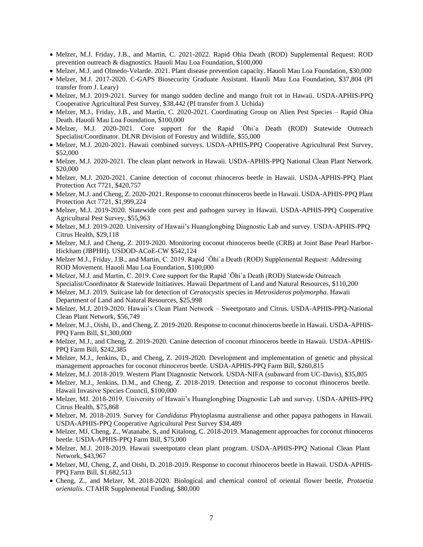- Melzer, M.J. Friday, J.B., and Martin, C. 2021-2022. Rapid Ohia Death (ROD) Supplemental Request: ROD prevention outreach & diagnostics. Hauoli Mau Loa Foundation, \$100,000
- Melzer, M.J. and Olmedo-Velarde. 2021. Plant disease prevention capacity. Hauoli Mau Loa Foundation, \$30,000
- Melzer, M.J. 2017-2020. C-GAPS Biosecurity Graduate Assistant. Hauoli Mau Loa Foundation, \$37,804 (PI transfer from J. Leary)
- Melzer, M.J. 2019-2021. Survey for mango sudden decline and mango fruit rot in Hawaii. USDA-APHIS-PPQ Cooperative Agricultural Pest Survey, \$38,442 (PI transfer from J. Uchida)
- Melzer, M.J., Friday, J.B., and Martin, C. 2020-2021. Coordinating Group on Alien Pest Species Rapid Ohia Death. Hauoli Mau Loa Foundation, \$100,000
- Melzer, M.J. 2020-2021. Core support for the Rapid `Ōhi`a Death (ROD) Statewide Outreach Specialist/Coordinator. DLNR Division of Forestry and Wildlife, \$55,000
- Melzer, M.J. 2020-2021. Hawaii combined surveys. USDA-APHIS-PPQ Cooperative Agricultural Pest Survey, \$52,000
- Melzer, M.J. 2020-2021. The clean plant network in Hawaii. USDA-APHIS-PPQ National Clean Plant Network. \$20,000
- Melzer, M.J. 2020-2021. Canine detection of coconut rhinoceros beetle in Hawaii. USDA-APHIS-PPQ Plant Protection Act 7721, \$420,757
- Melzer, M.J. and Cheng, Z. 2020-2021. Response to coconut rhinoceros beetle in Hawaii. USDA-APHIS-PPQ Plant Protection Act 7721, \$1,999,224
- Melzer, M.J. 2019-2020. Statewide corn pest and pathogen survey in Hawaii. USDA-APHIS-PPQ Cooperative Agricultural Pest Survey, \$55,963
- Melzer, M.J. 2019-2020. University of Hawaii's Huanglongbing Diagnostic Lab and survey. USDA-APHIS-PPQ Citrus Health, \$29,118
- Melzer, M.J. and Cheng, Z. 2019-2020. Monitoring coconut rhinoceros beetle (CRB) at Joint Base Pearl Harbor-Hickham (JBPHH). USDOD-ACoE-CW \$542,124
- Melzer M.J., Friday, J.B., and Martin, C. 2019. Rapid `Ōhi`a Death (ROD) Supplemental Request: Addressing ROD Movement. Hauoli Mau Loa Foundation, \$100,000
- Melzer, M.J. and Martin, C. 2019. Core support for the Rapid `Ōhi`a Death (ROD) Statewide Outreach Specialist/Coordinator & Statewide Initiatives. Hawaii Department of Land and Natural Resources, \$110,200
- Melzer, M.J. 2019. Suitcase lab for detection of *Ceratocystis* species in *Metrosideros polymorpha.* Hawaii Department of Land and Natural Resources, \$25,998
- Melzer, M.J. 2019-2020. Hawaii's Clean Plant Network Sweetpotato and Citrus. USDA-APHIS-PPQ-National Clean Plant Network, \$56,749
- Melzer, M.J., Oishi, D., and Cheng, Z. 2019-2020. Response to coconut rhinoceros beetle in Hawaii. USDA-APHIS-PPQ Farm Bill, \$1,300,000
- Melzer, M.J., and Cheng, Z. 2019-2020. Canine detection of coconut rhinoceros beetle in Hawaii. USDA-APHIS-PPQ Farm Bill, \$242,385
- Melzer, M.J., Jenkins, D., and Cheng, Z. 2019-2020. Development and implementation of genetic and physical management approaches for coconut rhinoceros beetle. USDA-APHIS-PPQ Farm Bill, \$260,815
- Melzer, M.J. 2018-2019. Western Plant Diagnostic Network. USDA-NIFA (subaward from UC-Davis), \$35,805
- Melzer, M.J., Jenkins, D.M., and Cheng, Z. 2018-2019. Detection and response to coconut rhinoceros beetle. Hawaii Invasive Species Council, \$100,000
- Melzer, MJ. 2018-2019. University of Hawaii's Huanglongbing Diagnostic Lab and survey. USDA-APHIS-PPQ Citrus Health, \$75,868
- Melzer, M. 2018-2019. Survey for *Candidatus* Phytoplasma australiense and other papaya pathogens in Hawaii. USDA-APHIS-PPQ Cooperative Agricultural Pest Survey \$34,489
- Melzer, MJ, Cheng, Z., Watanabe, S, and Kitalong, C. 2018-2019. Management approaches for coconut rhinoceros beetle. USDA-APHIS-PPQ Farm Bill, \$75,000
- Melzer, M.J. 2018-2019. Hawaii sweetpotato clean plant program. USDA-APHIS-PPQ National Clean Plant Network, \$43,967
- Melzer, MJ, Cheng, Z, and Oishi, D. 2018-2019. Response to coconut rhinoceros beetle in Hawaii. USDA-APHIS-PPQ Farm Bill, \$1,682,513
- Cheng, Z., and Melzer, M. 2018-2020. Biological and chemical control of oriental flower beetle, *Protaetia orientalis*. CTAHR Supplemental Funding, \$80,000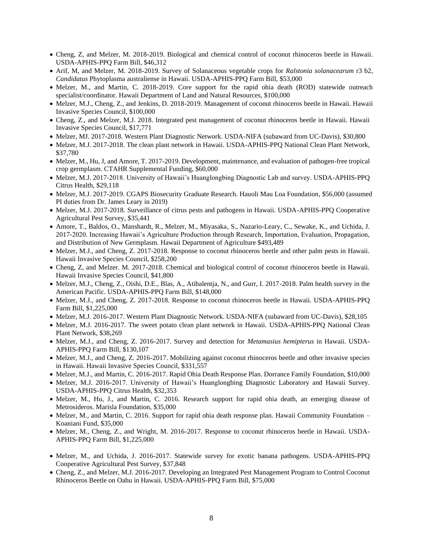- Cheng, Z, and Melzer, M. 2018-2019. Biological and chemical control of coconut rhinoceros beetle in Hawaii. USDA-APHIS-PPQ Farm Bill, \$46,312
- Arif, M, and Melzer, M. 2018-2019. Survey of Solanaceous vegetable crops for *Ralstonia solanacearum* r3 b2, *Candidatus* Phytoplasma australiense in Hawaii. USDA-APHIS-PPQ Farm Bill, \$53,000
- Melzer, M., and Martin, C. 2018-2019. Core support for the rapid ohia death (ROD) statewide outreach specialist/coordinator. Hawaii Department of Land and Natural Resources, \$100,000
- Melzer, M.J., Cheng, Z., and Jenkins, D. 2018-2019. Management of coconut rhinoceros beetle in Hawaii. Hawaii Invasive Species Council, \$100,000
- Cheng, Z., and Melzer, M.J. 2018. Integrated pest management of coconut rhinoceros beetle in Hawaii. Hawaii Invasive Species Council, \$17,771
- Melzer, MJ. 2017-2018. Western Plant Diagnostic Network. USDA-NIFA (subaward from UC-Davis), \$30,800
- Melzer, M.J. 2017-2018. The clean plant network in Hawaii. USDA-APHIS-PPQ National Clean Plant Network, \$37,780
- Melzer, M., Hu, J, and Amore, T. 2017-2019. Development, maintenance, and evaluation of pathogen-free tropical crop germplasm. CTAHR Supplemental Funding, \$60,000
- Melzer, M.J. 2017-2018. University of Hawaii's Huanglongbing Diagnostic Lab and survey. USDA-APHIS-PPQ Citrus Health, \$29,118
- Melzer, M.J. 2017-2019. CGAPS Biosecurity Graduate Research. Hauoli Mau Loa Foundation, \$56,000 (assumed PI duties from Dr. James Leary in 2019)
- Melzer, M.J. 2017-2018. Surveillance of citrus pests and pathogens in Hawaii. USDA-APHIS-PPQ Cooperative Agricultural Pest Survey, \$35,441
- Amore, T., Baldos, O., Manshardt, R., Melzer, M., Miyasaka, S., Nazario-Leary, C., Sewake, K., and Uchida, J. 2017-2020. Increasing Hawaii's Agriculture Production through Research, Importation, Evaluation, Propagation, and Distribution of New Germplasm. Hawaii Department of Agriculture \$493,489
- Melzer, M.J., and Cheng, Z. 2017-2018. Response to coconut rhinoceros beetle and other palm pests in Hawaii. Hawaii Invasive Species Council, \$258,200
- Cheng, Z, and Melzer. M. 2017-2018. Chemical and biological control of coconut rhinoceros beetle in Hawaii. Hawaii Invasive Species Council, \$41,800
- Melzer, M.J., Cheng, Z., Oishi, D.E., Blas, A., Atibalentja, N., and Gurr, I. 2017-2018. Palm health survey in the American Pacific. USDA-APHIS-PPQ Farm Bill, \$148,000
- Melzer, M.J., and Cheng, Z. 2017-2018. Response to coconut rhinoceros beetle in Hawaii. USDA-APHIS-PPQ Farm Bill, \$1,225,000
- Melzer, M.J. 2016-2017. Western Plant Diagnostic Network. USDA-NIFA (subaward from UC-Davis), \$28,105
- Melzer, M.J. 2016-2017. The sweet potato clean plant network in Hawaii. USDA-APHIS-PPQ National Clean Plant Network, \$38,269
- Melzer, M.J., and Cheng, Z. 2016-2017. Survey and detection for *Metamasius hemipterus* in Hawaii. USDA-APHIS-PPQ Farm Bill, \$130,107
- Melzer, M.J., and Cheng, Z. 2016-2017. Mobilizing against coconut rhinoceros beetle and other invasive species in Hawaii. Hawaii Invasive Species Council, \$331,557
- Melzer, M.J., and Martin, C. 2016-2017. Rapid Ohia Death Response Plan. Dorrance Family Foundation, \$10,000
- Melzer, M.J. 2016-2017. University of Hawaii's Huanglongbing Diagnostic Laboratory and Hawaii Survey. USDA-APHIS-PPQ Citrus Health, \$32,353
- Melzer, M., Hu, J., and Martin, C. 2016. Research support for rapid ohia death, an emerging disease of Metrosideros. Marisla Foundation, \$35,000
- Melzer, M., and Martin, C. 2016. Support for rapid ohia death response plan. Hawaii Community Foundation Koaniani Fund, \$35,000
- Melzer, M., Cheng, Z., and Wright, M. 2016-2017. Response to coconut rhinoceros beetle in Hawaii. USDA-APHIS-PPQ Farm Bill, \$1,225,000
- Melzer, M., and Uchida, J. 2016-2017. Statewide survey for exotic banana pathogens. USDA-APHIS-PPQ Cooperative Agricultural Pest Survey, \$37,848
- Cheng, Z., and Melzer, M.J. 2016-2017. Developing an Integrated Pest Management Program to Control Coconut Rhinoceros Beetle on Oahu in Hawaii. USDA-APHIS-PPQ Farm Bill, \$75,000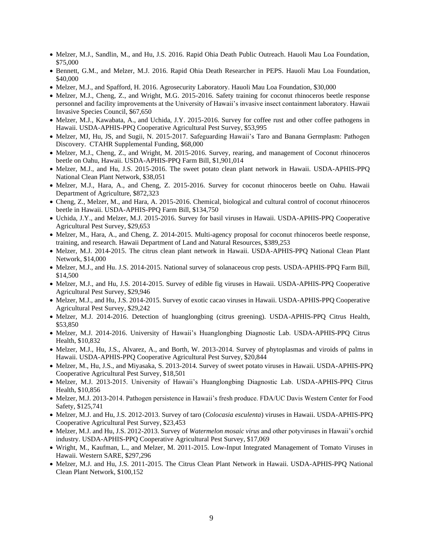- Melzer, M.J., Sandlin, M., and Hu, J.S. 2016. Rapid Ohia Death Public Outreach. Hauoli Mau Loa Foundation, \$75,000
- Bennett, G.M., and Melzer, M.J. 2016. Rapid Ohia Death Researcher in PEPS. Hauoli Mau Loa Foundation, \$40,000
- Melzer, M.J., and Spafford, H. 2016. Agrosecurity Laboratory. Hauoli Mau Loa Foundation, \$30,000
- Melzer, M.J., Cheng, Z., and Wright, M.G. 2015-2016. Safety training for coconut rhinoceros beetle response personnel and facility improvements at the University of Hawaii's invasive insect containment laboratory. Hawaii Invasive Species Council, \$67,650
- Melzer, M.J., Kawabata, A., and Uchida, J.Y. 2015-2016. Survey for coffee rust and other coffee pathogens in Hawaii. USDA-APHIS-PPQ Cooperative Agricultural Pest Survey, \$53,995
- Melzer, MJ, Hu, JS, and Sugii, N. 2015-2017. Safeguarding Hawaii's Taro and Banana Germplasm: Pathogen Discovery. CTAHR Supplemental Funding, \$68,000
- Melzer, M.J., Cheng, Z., and Wright, M. 2015-2016. Survey, rearing, and management of Coconut rhinoceros beetle on Oahu, Hawaii. USDA-APHIS-PPQ Farm Bill, \$1,901,014
- Melzer, M.J., and Hu, J.S. 2015-2016. The sweet potato clean plant network in Hawaii. USDA-APHIS-PPQ National Clean Plant Network, \$38,051
- Melzer, M.J., Hara, A., and Cheng, Z. 2015-2016. Survey for coconut rhinoceros beetle on Oahu. Hawaii Department of Agriculture, \$872,323
- Cheng, Z., Melzer, M., and Hara, A. 2015-2016. Chemical, biological and cultural control of coconut rhinoceros beetle in Hawaii. USDA-APHIS-PPQ Farm Bill, \$134,750
- Uchida, J.Y., and Melzer, M.J. 2015-2016. Survey for basil viruses in Hawaii. USDA-APHIS-PPQ Cooperative Agricultural Pest Survey, \$29,653
- Melzer, M., Hara, A., and Cheng, Z. 2014-2015. Multi-agency proposal for coconut rhinoceros beetle response, training, and research. Hawaii Department of Land and Natural Resources, \$389,253
- Melzer, M.J. 2014-2015. The citrus clean plant network in Hawaii. USDA-APHIS-PPQ National Clean Plant Network, \$14,000
- Melzer, M.J., and Hu. J.S. 2014-2015. National survey of solanaceous crop pests. USDA-APHIS-PPQ Farm Bill, \$14,500
- Melzer, M.J., and Hu, J.S. 2014-2015. Survey of edible fig viruses in Hawaii. USDA-APHIS-PPQ Cooperative Agricultural Pest Survey, \$29,946
- Melzer, M.J., and Hu, J.S. 2014-2015. Survey of exotic cacao viruses in Hawaii. USDA-APHIS-PPQ Cooperative Agricultural Pest Survey, \$29,242
- Melzer, M.J. 2014-2016. Detection of huanglongbing (citrus greening). USDA-APHIS-PPQ Citrus Health, \$53,850
- Melzer, M.J. 2014-2016. University of Hawaii's Huanglongbing Diagnostic Lab. USDA-APHIS-PPQ Citrus Health, \$10,832
- Melzer, M.J., Hu, J.S., Alvarez, A., and Borth, W. 2013-2014. Survey of phytoplasmas and viroids of palms in Hawaii. USDA-APHIS-PPQ Cooperative Agricultural Pest Survey, \$20,844
- Melzer, M., Hu, J.S., and Miyasaka, S. 2013-2014. Survey of sweet potato viruses in Hawaii. USDA-APHIS-PPQ Cooperative Agricultural Pest Survey, \$18,501
- Melzer, M.J. 2013-2015. University of Hawaii's Huanglongbing Diagnostic Lab. USDA-APHIS-PPQ Citrus Health, \$10,856
- Melzer, M.J. 2013-2014. Pathogen persistence in Hawaii's fresh produce. FDA/UC Davis Western Center for Food Safety, \$125,741
- Melzer, M.J. and Hu, J.S. 2012-2013. Survey of taro (*Colocasia esculenta*) viruses in Hawaii. USDA-APHIS-PPQ Cooperative Agricultural Pest Survey, \$23,453
- Melzer, M.J. and Hu, J.S. 2012-2013. Survey of *Watermelon mosaic virus* and other potyviruses in Hawaii's orchid industry. USDA-APHIS-PPQ Cooperative Agricultural Pest Survey, \$17,069
- Wright, M., Kaufman, L., and Melzer, M. 2011-2015. Low-Input Integrated Management of Tomato Viruses in Hawaii. Western SARE, \$297,296
- Melzer, M.J. and Hu, J.S. 2011-2015. The Citrus Clean Plant Network in Hawaii. USDA-APHIS-PPQ National Clean Plant Network, \$100,152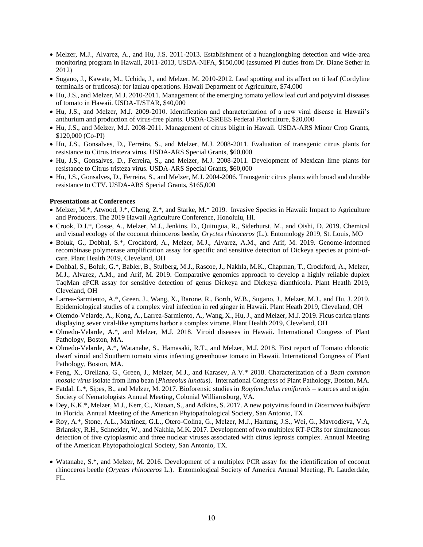- Melzer, M.J., Alvarez, A., and Hu, J.S. 2011-2013. Establishment of a huanglongbing detection and wide-area monitoring program in Hawaii, 2011-2013, USDA-NIFA, \$150,000 (assumed PI duties from Dr. Diane Sether in 2012)
- Sugano, J., Kawate, M., Uchida, J., and Melzer. M. 2010-2012. Leaf spotting and its affect on ti leaf (Cordyline terminalis or fruticosa): for laulau operations. Hawaii Deparment of Agriculture, \$74,000
- Hu, J.S., and Melzer, M.J. 2010-2011. Management of the emerging tomato yellow leaf curl and potyviral diseases of tomato in Hawaii. USDA-T/STAR, \$40,000
- Hu, J.S., and Melzer, M.J. 2009-2010. Identification and characterization of a new viral disease in Hawaii's anthurium and production of virus-free plants. USDA-CSREES Federal Floriculture, \$20,000
- Hu, J.S., and Melzer, M.J. 2008-2011. Management of citrus blight in Hawaii. USDA-ARS Minor Crop Grants, \$120,000 (Co-PI)
- Hu, J.S., Gonsalves, D., Ferreira, S., and Melzer, M.J. 2008-2011. Evaluation of transgenic citrus plants for resistance to Citrus tristeza virus. USDA-ARS Special Grants, \$60,000
- Hu, J.S., Gonsalves, D., Ferreira, S., and Melzer, M.J. 2008-2011. Development of Mexican lime plants for resistance to Citrus tristeza virus. USDA-ARS Special Grants, \$60,000
- Hu, J.S., Gonsalves, D., Ferreira, S., and Melzer, M.J. 2004-2006. Transgenic citrus plants with broad and durable resistance to CTV. USDA-ARS Special Grants, \$165,000

### **Presentations at Conferences**

- Melzer, M.\*, Atwood, J.\*, Cheng, Z.\*, and Starke, M.\* 2019. Invasive Species in Hawaii: Impact to Agriculture and Producers. The 2019 Hawaii Agriculture Conference, Honolulu, HI.
- Crook, D.J.\*, Cosse, A., Melzer, M.J., Jenkins, D., Quitugua, R., Siderhurst, M., and Oishi, D. 2019. Chemical and visual ecology of the coconut rhinoceros beetle, *Oryctes rhinoceros* (L.). Entomology 2019, St. Louis, MO
- Boluk, G., Dobhal, S.\*, Crockford, A., Melzer, M.J., Alvarez, A.M., and Arif, M. 2019. Genome-informed recombinase polymerase amplification assay for specific and sensitive detection of Dickeya species at point-ofcare. Plant Health 2019, Cleveland, OH
- Dohbal, S., Boluk, G.\*, Babler, B., Stulberg, M.J., Rascoe, J., Nakhla, M.K., Chapman, T., Crockford, A., Melzer, M.J., Alvarez, A.M., and Arif, M. 2019. Comparative genomics approach to develop a highly reliable duplex TaqMan qPCR assay for sensitive detection of genus Dickeya and Dickeya dianthicola. Plant Heatlh 2019, Cleveland, OH
- Larrea-Sarmiento, A.\*, Green, J., Wang, X., Barone, R., Borth, W.B., Sugano, J., Melzer, M.J., and Hu, J. 2019. Epidemiological studies of a complex viral infection in red ginger in Hawaii. Plant Heath 2019, Cleveland, OH
- Olemdo-Velarde, A., Kong, A., Larrea-Sarmiento, A., Wang, X., Hu, J., and Melzer, M.J. 2019. Ficus carica plants displaying sever viral-like symptoms harbor a complex virome. Plant Health 2019, Cleveland, OH
- Olmedo-Velarde, A.\*, and Melzer, M.J. 2018. Viroid diseases in Hawaii. International Congress of Plant Pathology, Boston, MA.
- Olmedo-Velarde, A.\*, Watanabe, S., Hamasaki, R.T., and Melzer, M.J. 2018. First report of Tomato chlorotic dwarf viroid and Southern tomato virus infecting greenhouse tomato in Hawaii. International Congress of Plant Pathology, Boston, MA.
- Feng, X., Orellana, G., Green, J., Melzer, M.J., and Karasev, A.V.\* 2018. Characterization of a *Bean common mosaic virus* isolate from lima bean (*Phaseolus lunatus*). International Congress of Plant Pathology, Boston, MA.
- Fatdal. L.\*, Sipes, B., and Melzer, M. 2017. Bioforensic studies in *Rotylenchulus reniformis* sources and origin. Society of Nematologists Annual Meeting, Colonial Williamsburg, VA.
- Dey, K.K.\*, Melzer, M.J., Kerr, C., Xiaoan, S., and Adkins, S. 2017. A new potyvirus found in *Dioscorea bulbifera* in Florida. Annual Meeting of the American Phytopathological Society, San Antonio, TX.
- Roy, A.\*, Stone, A.L., Martinez, G.L., Otero-Colina, G., Melzer, M.J., Hartung, J.S., Wei, G., Mavrodieva, V.A, Brlansky, R.H., Schneider, W., and Nakhla, M.K. 2017. Development of two multiplex RT-PCRs for simultaneous detection of five cytoplasmic and three nuclear viruses associated with citrus leprosis complex. Annual Meeting of the American Phytopathological Society, San Antonio, TX.
- Watanabe, S.\*, and Melzer, M. 2016. Development of a multiplex PCR assay for the identification of coconut rhinoceros beetle (*Oryctes rhinoceros* L.). Entomological Society of America Annual Meeting, Ft. Lauderdale, FL.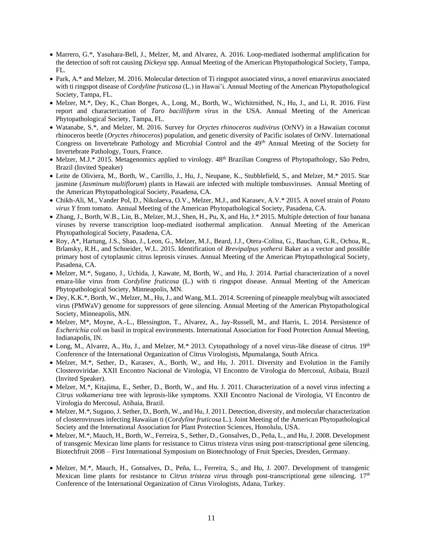- Marrero, G.\*, Yasuhara-Bell, J., Melzer, M, and Alvarez, A. 2016. Loop-mediated isothermal amplification for the detection of soft rot causing *Dickeya* spp. Annual Meeting of the American Phytopathological Society, Tampa, FL.
- Park, A.\* and Melzer, M. 2016. Molecular detection of Ti ringspot associated virus, a novel emaravirus associated with ti ringspot disease of *Cordyline fruticosa* (L.) in Hawai'i. Annual Meeting of the American Phytopathological Society, Tampa, FL.
- Melzer, M.\*, Dey, K., Chan Borges, A., Long, M., Borth, W., Wichitrnithed, N., Hu, J., and Li, R. 2016. First report and characterization of *Taro bacilliform virus* in the USA. Annual Meeting of the American Phytopathological Society, Tampa, FL.
- Watanabe, S.\*, and Melzer, M. 2016. Survey for *Oryctes rhinoceros nudivirus* (OrNV) in a Hawaiian coconut rhinoceros beetle (*Oryctes rhinoceros*) population, and genetic diversity of Pacific isolates of OrNV. International Congress on Invertebrate Pathology and Microbial Control and the 49<sup>th</sup> Annual Meeting of the Society for Invertebrate Pathology, Tours, France.
- Melzer, M.J.\* 2015. Metagenomics applied to virology. 48<sup>th</sup> Brazilian Congress of Phytopathology, São Pedro, Brazil (Invited Speaker)
- Leite de Oliviera, M., Borth, W., Carrillo, J., Hu, J., Neupane, K., Stubblefield, S., and Melzer, M.\* 2015. Star jasmine (*Jasminum multiflorum*) plants in Hawaii are infected with multiple tombusviruses. Annual Meeting of the American Phytopathological Society, Pasadena, CA.
- Chikh-Ali, M., Vander Pol, D., Nikolaeva, O.V., Melzer, M.J., and Karasev, A.V.\* 2015. A novel strain of *Potato virus Y* from tomato. Annual Meeting of the American Phytopathological Society, Pasadena, CA.
- Zhang, J., Borth, W.B., Lin, B., Melzer, M.J., Shen, H., Pu, X, and Hu, J.\* 2015. Multiple detection of four banana viruses by reverse transcription loop-mediated isothermal amplication. Annual Meeting of the American Phytopathological Society, Pasadena, CA.
- Roy, A\*, Hartung, J.S., Shao, J., Leon, G., Melzer, M.J., Beard, J.J., Otera-Colina, G., Bauchan, G.R., Ochoa, R., Brlansky, R.H., and Schneider, W.L. 2015. Identification of *Brevipalpus yothersi* Baker as a vector and possible primary host of cytoplasmic citrus leprosis viruses. Annual Meeting of the American Phytopathological Society, Pasadena, CA.
- Melzer, M.\*, Sugano, J., Uchida, J, Kawate, M, Borth, W., and Hu, J. 2014. Partial characterization of a novel emara-like virus from *Cordyline fruticosa* (L.) with ti ringspot disease. Annual Meeting of the American Phytopathological Society, Minneapolis, MN.
- Dey, K.K.\*, Borth, W., Melzer, M., Hu, J., and Wang, M.L. 2014. Screening of pineapple mealybug wilt associated virus (PMWaV) genome for suppressors of gene silencing. Annual Meeting of the American Phytopathological Society, Minneapolis, MN.
- Melzer, M\*, Moyne, A.-L., Blessington, T., Alvarez, A., Jay-Russell, M., and Harris, L. 2014. Persistence of *Escherichia coli* on basil in tropical environments. International Association for Food Protection Annual Meeting, Indianapolis, IN.
- Long, M., Alvarez, A., Hu, J., and Melzer, M.\* 2013. Cytopathology of a novel virus-like disease of citrus. 19<sup>th</sup> Conference of the International Organization of Citrus Virologists, Mpumalanga, South Africa.
- Melzer, M.\*, Sether, D., Karasev, A., Borth, W., and Hu, J. 2011. Diversity and Evolution in the Family Closteroviridae. XXII Encontro Nacional de Virologia, VI Encontro de Virologia do Mercosul, Atibaia, Brazil (Invited Speaker).
- Melzer, M.\*, Kitajima, E., Sether, D., Borth, W., and Hu. J. 2011. Characterization of a novel virus infecting a *Citrus volkameriana* tree with leprosis-like symptoms. XXII Encontro Nacional de Virologia, VI Encontro de Virologia do Mercosul, Atibaia, Brazil.
- Melzer, M.\*, Sugano, J. Sether, D., Borth, W., and Hu, J. 2011. Detection, diversity, and molecular characterization of closteroviruses infecting Hawaiian ti (*Cordyline fruticosa* L.). Joint Meeting of the American Phytopathological Society and the International Association for Plant Protection Sciences, Honolulu, USA.
- Melzer, M.\*, Mauch, H., Borth, W., Ferreira, S., Sether, D., Gonsalves, D., Peña, L., and Hu, J. 2008. Development of transgenic Mexican lime plants for resistance to Citrus tristeza virus using post-transcriptional gene silencing. Biotechfruit 2008 – First International Symposium on Biotechnology of Fruit Species, Dresden, Germany.
- Melzer, M.\*, Mauch, H., Gonsalves, D., Peña, L., Ferreira, S., and Hu, J. 2007. Development of transgenic Mexican lime plants for resistance to *Citrus tristeza virus* through post-transcriptional gene silencing. 17<sup>th</sup> Conference of the International Organization of Citrus Virologists, Adana, Turkey.